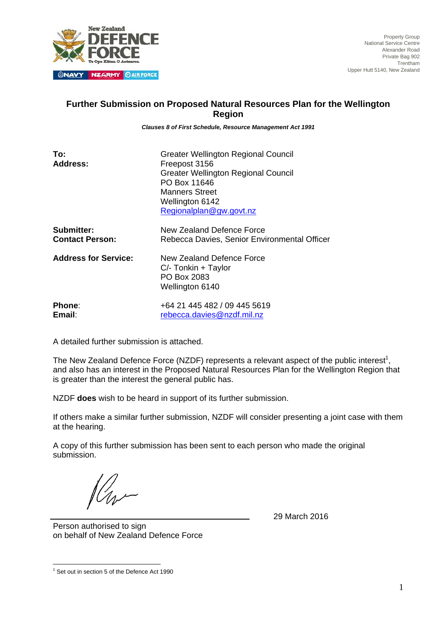

Property Group National Service Centre Alexander Road Private Bag 902 Trentham Upper Hutt 5140, New Zealand

## **Further Submission on Proposed Natural Resources Plan for the Wellington Region**

*Clauses 8 of First Schedule, Resource Management Act 1991* 

| To:<br><b>Address:</b>      | <b>Greater Wellington Regional Council</b><br>Freepost 3156<br><b>Greater Wellington Regional Council</b><br>PO Box 11646<br><b>Manners Street</b><br>Wellington 6142<br>Regionalplan@gw.govt.nz |
|-----------------------------|--------------------------------------------------------------------------------------------------------------------------------------------------------------------------------------------------|
| Submitter:                  | New Zealand Defence Force                                                                                                                                                                        |
| <b>Contact Person:</b>      | Rebecca Davies, Senior Environmental Officer                                                                                                                                                     |
| <b>Address for Service:</b> | New Zealand Defence Force<br>$C$ /- Tonkin + Taylor<br>PO Box 2083<br>Wellington 6140                                                                                                            |
| Phone:                      | +64 21 445 482 / 09 445 5619                                                                                                                                                                     |
| Email:                      | rebecca.davies@nzdf.mil.nz                                                                                                                                                                       |

A detailed further submission is attached.

The New Zealand Defence Force (NZDF) represents a relevant aspect of the public interest<sup>1</sup>, and also has an interest in the Proposed Natural Resources Plan for the Wellington Region that is greater than the interest the general public has.

NZDF **does** wish to be heard in support of its further submission.

If others make a similar further submission, NZDF will consider presenting a joint case with them at the hearing.

A copy of this further submission has been sent to each person who made the original submission.

29 March 2016

Person authorised to sign on behalf of New Zealand Defence Force

 1 Set out in section 5 of the Defence Act 1990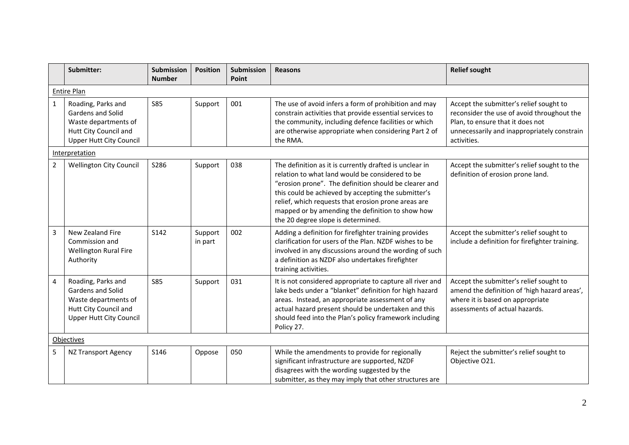|                | Submitter:                                                                                                                        | Submission<br><b>Number</b> | <b>Position</b>    | <b>Submission</b><br>Point | <b>Reasons</b>                                                                                                                                                                                                                                                                                                                                                              | <b>Relief sought</b>                                                                                                                                                                    |  |  |
|----------------|-----------------------------------------------------------------------------------------------------------------------------------|-----------------------------|--------------------|----------------------------|-----------------------------------------------------------------------------------------------------------------------------------------------------------------------------------------------------------------------------------------------------------------------------------------------------------------------------------------------------------------------------|-----------------------------------------------------------------------------------------------------------------------------------------------------------------------------------------|--|--|
|                | <b>Entire Plan</b>                                                                                                                |                             |                    |                            |                                                                                                                                                                                                                                                                                                                                                                             |                                                                                                                                                                                         |  |  |
| $\mathbf{1}$   | Roading, Parks and<br><b>Gardens and Solid</b><br>Waste departments of<br>Hutt City Council and<br><b>Upper Hutt City Council</b> | <b>S85</b>                  | Support            | 001                        | The use of avoid infers a form of prohibition and may<br>constrain activities that provide essential services to<br>the community, including defence facilities or which<br>are otherwise appropriate when considering Part 2 of<br>the RMA.                                                                                                                                | Accept the submitter's relief sought to<br>reconsider the use of avoid throughout the<br>Plan, to ensure that it does not<br>unnecessarily and inappropriately constrain<br>activities. |  |  |
|                | Interpretation                                                                                                                    |                             |                    |                            |                                                                                                                                                                                                                                                                                                                                                                             |                                                                                                                                                                                         |  |  |
| $\overline{2}$ | <b>Wellington City Council</b>                                                                                                    | S286                        | Support            | 038                        | The definition as it is currently drafted is unclear in<br>relation to what land would be considered to be<br>"erosion prone". The definition should be clearer and<br>this could be achieved by accepting the submitter's<br>relief, which requests that erosion prone areas are<br>mapped or by amending the definition to show how<br>the 20 degree slope is determined. | Accept the submitter's relief sought to the<br>definition of erosion prone land.                                                                                                        |  |  |
| $\overline{3}$ | New Zealand Fire<br>Commission and<br><b>Wellington Rural Fire</b><br>Authority                                                   | S142                        | Support<br>in part | 002                        | Adding a definition for firefighter training provides<br>clarification for users of the Plan. NZDF wishes to be<br>involved in any discussions around the wording of such<br>a definition as NZDF also undertakes firefighter<br>training activities.                                                                                                                       | Accept the submitter's relief sought to<br>include a definition for firefighter training.                                                                                               |  |  |
| 4              | Roading, Parks and<br>Gardens and Solid<br>Waste departments of<br>Hutt City Council and<br><b>Upper Hutt City Council</b>        | <b>S85</b>                  | Support            | 031                        | It is not considered appropriate to capture all river and<br>lake beds under a "blanket" definition for high hazard<br>areas. Instead, an appropriate assessment of any<br>actual hazard present should be undertaken and this<br>should feed into the Plan's policy framework including<br>Policy 27.                                                                      | Accept the submitter's relief sought to<br>amend the definition of 'high hazard areas',<br>where it is based on appropriate<br>assessments of actual hazards.                           |  |  |
|                | Objectives                                                                                                                        |                             |                    |                            |                                                                                                                                                                                                                                                                                                                                                                             |                                                                                                                                                                                         |  |  |
| 5              | NZ Transport Agency                                                                                                               | S146                        | Oppose             | 050                        | While the amendments to provide for regionally<br>significant infrastructure are supported, NZDF<br>disagrees with the wording suggested by the<br>submitter, as they may imply that other structures are                                                                                                                                                                   | Reject the submitter's relief sought to<br>Objective O21.                                                                                                                               |  |  |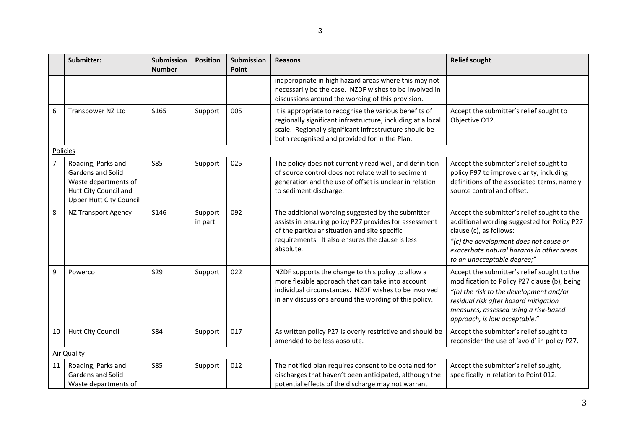|                | Submitter:                                                                                                          | Submission<br><b>Number</b> | <b>Position</b>    | <b>Submission</b><br>Point | Reasons                                                                                                                                                                                                                          | <b>Relief sought</b>                                                                                                                                                                                                                                      |
|----------------|---------------------------------------------------------------------------------------------------------------------|-----------------------------|--------------------|----------------------------|----------------------------------------------------------------------------------------------------------------------------------------------------------------------------------------------------------------------------------|-----------------------------------------------------------------------------------------------------------------------------------------------------------------------------------------------------------------------------------------------------------|
|                |                                                                                                                     |                             |                    |                            | inappropriate in high hazard areas where this may not<br>necessarily be the case. NZDF wishes to be involved in<br>discussions around the wording of this provision.                                                             |                                                                                                                                                                                                                                                           |
| 6              | Transpower NZ Ltd                                                                                                   | S165                        | Support            | 005                        | It is appropriate to recognise the various benefits of<br>regionally significant infrastructure, including at a local<br>scale. Regionally significant infrastructure should be<br>both recognised and provided for in the Plan. | Accept the submitter's relief sought to<br>Objective O12.                                                                                                                                                                                                 |
|                | Policies                                                                                                            |                             |                    |                            |                                                                                                                                                                                                                                  |                                                                                                                                                                                                                                                           |
| $\overline{7}$ | Roading, Parks and<br>Gardens and Solid<br>Waste departments of<br>Hutt City Council and<br>Upper Hutt City Council | <b>S85</b>                  | Support            | 025                        | The policy does not currently read well, and definition<br>of source control does not relate well to sediment<br>generation and the use of offset is unclear in relation<br>to sediment discharge.                               | Accept the submitter's relief sought to<br>policy P97 to improve clarity, including<br>definitions of the associated terms, namely<br>source control and offset.                                                                                          |
| $\,8\,$        | <b>NZ Transport Agency</b>                                                                                          | S146                        | Support<br>in part | 092                        | The additional wording suggested by the submitter<br>assists in ensuring policy P27 provides for assessment<br>of the particular situation and site specific<br>requirements. It also ensures the clause is less<br>absolute.    | Accept the submitter's relief sought to the<br>additional wording suggested for Policy P27<br>clause (c), as follows:<br>"(c) the development does not cause or<br>exacerbate natural hazards in other areas<br>to an unacceptable degree;"               |
| $\overline{9}$ | Powerco                                                                                                             | <b>S29</b>                  | Support            | 022                        | NZDF supports the change to this policy to allow a<br>more flexible approach that can take into account<br>individual circumstances. NZDF wishes to be involved<br>in any discussions around the wording of this policy.         | Accept the submitter's relief sought to the<br>modification to Policy P27 clause (b), being<br>"(b) the risk to the development and/or<br>residual risk after hazard mitigation<br>measures, assessed using a risk-based<br>approach, is low acceptable." |
| 10             | Hutt City Council                                                                                                   | <b>S84</b>                  | Support            | 017                        | As written policy P27 is overly restrictive and should be<br>amended to be less absolute.                                                                                                                                        | Accept the submitter's relief sought to<br>reconsider the use of 'avoid' in policy P27.                                                                                                                                                                   |
| Air Quality    |                                                                                                                     |                             |                    |                            |                                                                                                                                                                                                                                  |                                                                                                                                                                                                                                                           |
| 11             | Roading, Parks and<br>Gardens and Solid<br>Waste departments of                                                     | <b>S85</b>                  | Support            | 012                        | The notified plan requires consent to be obtained for<br>discharges that haven't been anticipated, although the<br>potential effects of the discharge may not warrant                                                            | Accept the submitter's relief sought,<br>specifically in relation to Point 012.                                                                                                                                                                           |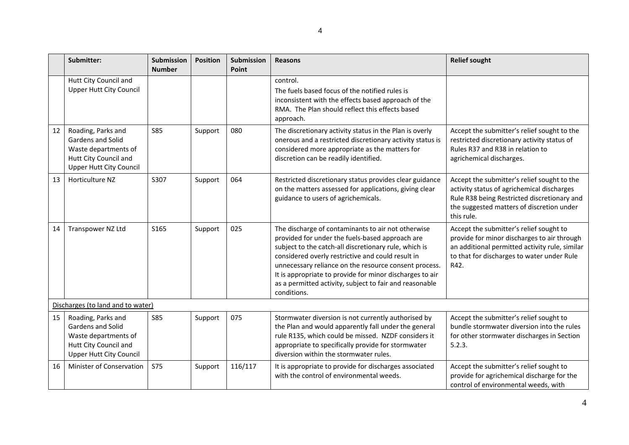|                                   | Submitter:                                                                                                                 | Submission<br><b>Number</b> | <b>Position</b> | Submission<br>Point | <b>Reasons</b>                                                                                                                                                                                                                                                                                                                                                                                                     | <b>Relief sought</b>                                                                                                                                                                                |  |
|-----------------------------------|----------------------------------------------------------------------------------------------------------------------------|-----------------------------|-----------------|---------------------|--------------------------------------------------------------------------------------------------------------------------------------------------------------------------------------------------------------------------------------------------------------------------------------------------------------------------------------------------------------------------------------------------------------------|-----------------------------------------------------------------------------------------------------------------------------------------------------------------------------------------------------|--|
|                                   | Hutt City Council and<br><b>Upper Hutt City Council</b>                                                                    |                             |                 |                     | control.<br>The fuels based focus of the notified rules is<br>inconsistent with the effects based approach of the<br>RMA. The Plan should reflect this effects based<br>approach.                                                                                                                                                                                                                                  |                                                                                                                                                                                                     |  |
| 12                                | Roading, Parks and<br>Gardens and Solid<br>Waste departments of<br>Hutt City Council and<br><b>Upper Hutt City Council</b> | <b>S85</b>                  | Support         | 080                 | The discretionary activity status in the Plan is overly<br>onerous and a restricted discretionary activity status is<br>considered more appropriate as the matters for<br>discretion can be readily identified.                                                                                                                                                                                                    | Accept the submitter's relief sought to the<br>restricted discretionary activity status of<br>Rules R37 and R38 in relation to<br>agrichemical discharges.                                          |  |
| 13                                | Horticulture NZ                                                                                                            | S307                        | Support         | 064                 | Restricted discretionary status provides clear guidance<br>on the matters assessed for applications, giving clear<br>guidance to users of agrichemicals.                                                                                                                                                                                                                                                           | Accept the submitter's relief sought to the<br>activity status of agrichemical discharges<br>Rule R38 being Restricted discretionary and<br>the suggested matters of discretion under<br>this rule. |  |
| 14                                | Transpower NZ Ltd                                                                                                          | S165                        | Support         | 025                 | The discharge of contaminants to air not otherwise<br>provided for under the fuels-based approach are<br>subject to the catch-all discretionary rule, which is<br>considered overly restrictive and could result in<br>unnecessary reliance on the resource consent process.<br>It is appropriate to provide for minor discharges to air<br>as a permitted activity, subject to fair and reasonable<br>conditions. | Accept the submitter's relief sought to<br>provide for minor discharges to air through<br>an additional permitted activity rule, similar<br>to that for discharges to water under Rule<br>R42.      |  |
| Discharges (to land and to water) |                                                                                                                            |                             |                 |                     |                                                                                                                                                                                                                                                                                                                                                                                                                    |                                                                                                                                                                                                     |  |
| 15                                | Roading, Parks and<br>Gardens and Solid<br>Waste departments of<br>Hutt City Council and<br><b>Upper Hutt City Council</b> | <b>S85</b>                  | Support         | 075                 | Stormwater diversion is not currently authorised by<br>the Plan and would apparently fall under the general<br>rule R135, which could be missed. NZDF considers it<br>appropriate to specifically provide for stormwater<br>diversion within the stormwater rules.                                                                                                                                                 | Accept the submitter's relief sought to<br>bundle stormwater diversion into the rules<br>for other stormwater discharges in Section<br>5.2.3.                                                       |  |
| 16                                | Minister of Conservation                                                                                                   | <b>S75</b>                  | Support         | 116/117             | It is appropriate to provide for discharges associated<br>with the control of environmental weeds.                                                                                                                                                                                                                                                                                                                 | Accept the submitter's relief sought to<br>provide for agrichemical discharge for the<br>control of environmental weeds, with                                                                       |  |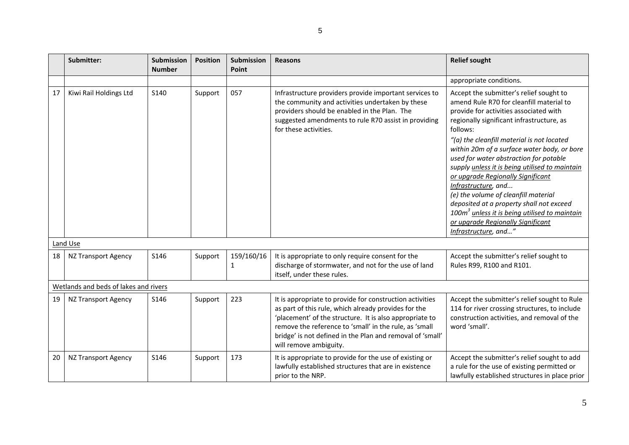|    | Submitter:                            | Submission<br><b>Number</b> | <b>Position</b> | Submission<br>Point | <b>Reasons</b>                                                                                                                                                                                                                                                                                                               | <b>Relief sought</b>                                                                                                                                                                                                                                                                                                                                                                                                                                                                                                                                                                                                                             |  |  |
|----|---------------------------------------|-----------------------------|-----------------|---------------------|------------------------------------------------------------------------------------------------------------------------------------------------------------------------------------------------------------------------------------------------------------------------------------------------------------------------------|--------------------------------------------------------------------------------------------------------------------------------------------------------------------------------------------------------------------------------------------------------------------------------------------------------------------------------------------------------------------------------------------------------------------------------------------------------------------------------------------------------------------------------------------------------------------------------------------------------------------------------------------------|--|--|
|    |                                       |                             |                 |                     |                                                                                                                                                                                                                                                                                                                              | appropriate conditions.                                                                                                                                                                                                                                                                                                                                                                                                                                                                                                                                                                                                                          |  |  |
| 17 | Kiwi Rail Holdings Ltd                | S140                        | Support         | 057                 | Infrastructure providers provide important services to<br>the community and activities undertaken by these<br>providers should be enabled in the Plan. The<br>suggested amendments to rule R70 assist in providing<br>for these activities.                                                                                  | Accept the submitter's relief sought to<br>amend Rule R70 for cleanfill material to<br>provide for activities associated with<br>regionally significant infrastructure, as<br>follows:<br>"(a) the cleanfill material is not located<br>within 20m of a surface water body, or bore<br>used for water abstraction for potable<br>supply unless it is being utilised to maintain<br>or upgrade Regionally Significant<br>Infrastructure, and<br>(e) the volume of cleanfill material<br>deposited at a property shall not exceed<br>100 $m3$ unless it is being utilised to maintain<br>or upgrade Regionally Significant<br>Infrastructure, and" |  |  |
|    | Land Use                              |                             |                 |                     |                                                                                                                                                                                                                                                                                                                              |                                                                                                                                                                                                                                                                                                                                                                                                                                                                                                                                                                                                                                                  |  |  |
| 18 | <b>NZ Transport Agency</b>            | S146                        | Support         | 159/160/16<br>1     | It is appropriate to only require consent for the<br>discharge of stormwater, and not for the use of land<br>itself, under these rules.                                                                                                                                                                                      | Accept the submitter's relief sought to<br>Rules R99, R100 and R101.                                                                                                                                                                                                                                                                                                                                                                                                                                                                                                                                                                             |  |  |
|    | Wetlands and beds of lakes and rivers |                             |                 |                     |                                                                                                                                                                                                                                                                                                                              |                                                                                                                                                                                                                                                                                                                                                                                                                                                                                                                                                                                                                                                  |  |  |
| 19 | <b>NZ Transport Agency</b>            | S146                        | Support         | 223                 | It is appropriate to provide for construction activities<br>as part of this rule, which already provides for the<br>'placement' of the structure. It is also appropriate to<br>remove the reference to 'small' in the rule, as 'small<br>bridge' is not defined in the Plan and removal of 'small'<br>will remove ambiguity. | Accept the submitter's relief sought to Rule<br>114 for river crossing structures, to include<br>construction activities, and removal of the<br>word 'small'.                                                                                                                                                                                                                                                                                                                                                                                                                                                                                    |  |  |
| 20 | <b>NZ Transport Agency</b>            | S146                        | Support         | 173                 | It is appropriate to provide for the use of existing or<br>lawfully established structures that are in existence<br>prior to the NRP.                                                                                                                                                                                        | Accept the submitter's relief sought to add<br>a rule for the use of existing permitted or<br>lawfully established structures in place prior                                                                                                                                                                                                                                                                                                                                                                                                                                                                                                     |  |  |